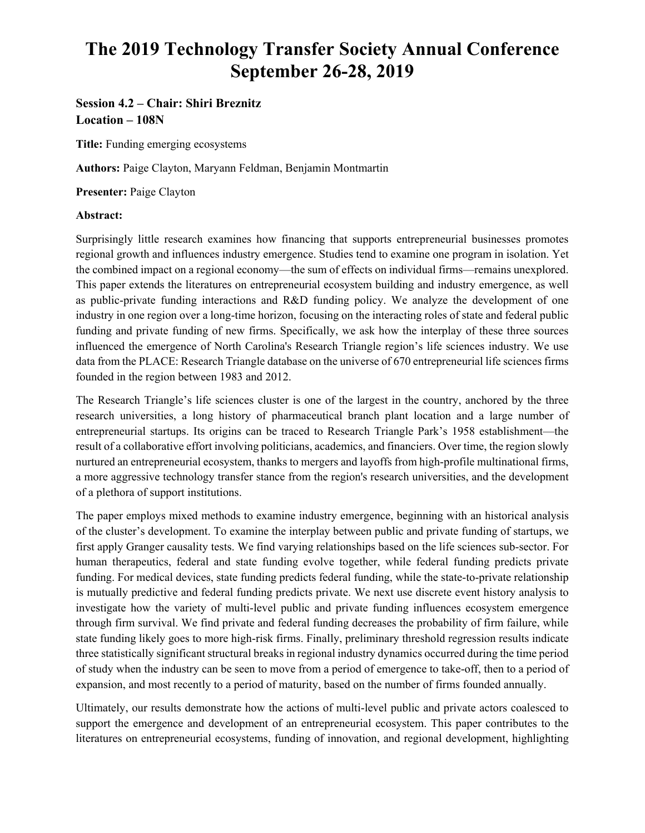# **The 2019 Technology Transfer Society Annual Conference September 26-28, 2019**

## **Session 4.2 – Chair: Shiri Breznitz Location – 108N**

**Title:** Funding emerging ecosystems

**Authors:** Paige Clayton, Maryann Feldman, Benjamin Montmartin

**Presenter:** Paige Clayton

### **Abstract:**

Surprisingly little research examines how financing that supports entrepreneurial businesses promotes regional growth and influences industry emergence. Studies tend to examine one program in isolation. Yet the combined impact on a regional economy—the sum of effects on individual firms—remains unexplored. This paper extends the literatures on entrepreneurial ecosystem building and industry emergence, as well as public-private funding interactions and R&D funding policy. We analyze the development of one industry in one region over a long-time horizon, focusing on the interacting roles of state and federal public funding and private funding of new firms. Specifically, we ask how the interplay of these three sources influenced the emergence of North Carolina's Research Triangle region's life sciences industry. We use data from the PLACE: Research Triangle database on the universe of 670 entrepreneurial life sciences firms founded in the region between 1983 and 2012.

The Research Triangle's life sciences cluster is one of the largest in the country, anchored by the three research universities, a long history of pharmaceutical branch plant location and a large number of entrepreneurial startups. Its origins can be traced to Research Triangle Park's 1958 establishment—the result of a collaborative effort involving politicians, academics, and financiers. Over time, the region slowly nurtured an entrepreneurial ecosystem, thanks to mergers and layoffs from high-profile multinational firms, a more aggressive technology transfer stance from the region's research universities, and the development of a plethora of support institutions.

The paper employs mixed methods to examine industry emergence, beginning with an historical analysis of the cluster's development. To examine the interplay between public and private funding of startups, we first apply Granger causality tests. We find varying relationships based on the life sciences sub-sector. For human therapeutics, federal and state funding evolve together, while federal funding predicts private funding. For medical devices, state funding predicts federal funding, while the state-to-private relationship is mutually predictive and federal funding predicts private. We next use discrete event history analysis to investigate how the variety of multi-level public and private funding influences ecosystem emergence through firm survival. We find private and federal funding decreases the probability of firm failure, while state funding likely goes to more high-risk firms. Finally, preliminary threshold regression results indicate three statistically significant structural breaks in regional industry dynamics occurred during the time period of study when the industry can be seen to move from a period of emergence to take-off, then to a period of expansion, and most recently to a period of maturity, based on the number of firms founded annually.

Ultimately, our results demonstrate how the actions of multi-level public and private actors coalesced to support the emergence and development of an entrepreneurial ecosystem. This paper contributes to the literatures on entrepreneurial ecosystems, funding of innovation, and regional development, highlighting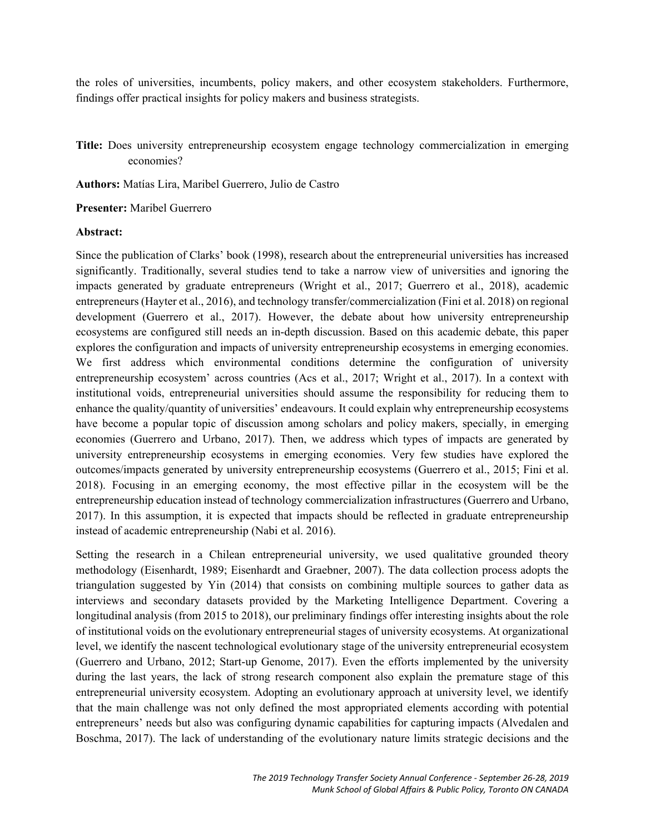the roles of universities, incumbents, policy makers, and other ecosystem stakeholders. Furthermore, findings offer practical insights for policy makers and business strategists.

**Title:** Does university entrepreneurship ecosystem engage technology commercialization in emerging economies?

**Authors:** Matías Lira, Maribel Guerrero, Julio de Castro

**Presenter:** Maribel Guerrero

#### **Abstract:**

Since the publication of Clarks' book (1998), research about the entrepreneurial universities has increased significantly. Traditionally, several studies tend to take a narrow view of universities and ignoring the impacts generated by graduate entrepreneurs (Wright et al., 2017; Guerrero et al., 2018), academic entrepreneurs (Hayter et al., 2016), and technology transfer/commercialization (Fini et al. 2018) on regional development (Guerrero et al., 2017). However, the debate about how university entrepreneurship ecosystems are configured still needs an in-depth discussion. Based on this academic debate, this paper explores the configuration and impacts of university entrepreneurship ecosystems in emerging economies. We first address which environmental conditions determine the configuration of university entrepreneurship ecosystem' across countries (Acs et al., 2017; Wright et al., 2017). In a context with institutional voids, entrepreneurial universities should assume the responsibility for reducing them to enhance the quality/quantity of universities' endeavours. It could explain why entrepreneurship ecosystems have become a popular topic of discussion among scholars and policy makers, specially, in emerging economies (Guerrero and Urbano, 2017). Then, we address which types of impacts are generated by university entrepreneurship ecosystems in emerging economies. Very few studies have explored the outcomes/impacts generated by university entrepreneurship ecosystems (Guerrero et al., 2015; Fini et al. 2018). Focusing in an emerging economy, the most effective pillar in the ecosystem will be the entrepreneurship education instead of technology commercialization infrastructures (Guerrero and Urbano, 2017). In this assumption, it is expected that impacts should be reflected in graduate entrepreneurship instead of academic entrepreneurship (Nabi et al. 2016).

Setting the research in a Chilean entrepreneurial university, we used qualitative grounded theory methodology (Eisenhardt, 1989; Eisenhardt and Graebner, 2007). The data collection process adopts the triangulation suggested by Yin (2014) that consists on combining multiple sources to gather data as interviews and secondary datasets provided by the Marketing Intelligence Department. Covering a longitudinal analysis (from 2015 to 2018), our preliminary findings offer interesting insights about the role of institutional voids on the evolutionary entrepreneurial stages of university ecosystems. At organizational level, we identify the nascent technological evolutionary stage of the university entrepreneurial ecosystem (Guerrero and Urbano, 2012; Start-up Genome, 2017). Even the efforts implemented by the university during the last years, the lack of strong research component also explain the premature stage of this entrepreneurial university ecosystem. Adopting an evolutionary approach at university level, we identify that the main challenge was not only defined the most appropriated elements according with potential entrepreneurs' needs but also was configuring dynamic capabilities for capturing impacts (Alvedalen and Boschma, 2017). The lack of understanding of the evolutionary nature limits strategic decisions and the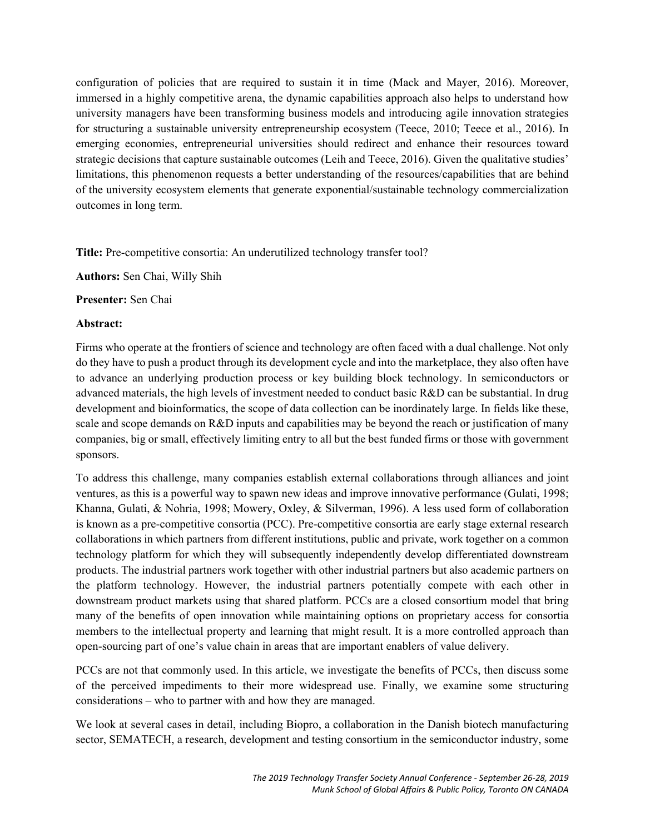configuration of policies that are required to sustain it in time (Mack and Mayer, 2016). Moreover, immersed in a highly competitive arena, the dynamic capabilities approach also helps to understand how university managers have been transforming business models and introducing agile innovation strategies for structuring a sustainable university entrepreneurship ecosystem (Teece, 2010; Teece et al., 2016). In emerging economies, entrepreneurial universities should redirect and enhance their resources toward strategic decisions that capture sustainable outcomes (Leih and Teece, 2016). Given the qualitative studies' limitations, this phenomenon requests a better understanding of the resources/capabilities that are behind of the university ecosystem elements that generate exponential/sustainable technology commercialization outcomes in long term.

**Title:** Pre-competitive consortia: An underutilized technology transfer tool?

**Authors:** Sen Chai, Willy Shih

**Presenter:** Sen Chai

#### **Abstract:**

Firms who operate at the frontiers of science and technology are often faced with a dual challenge. Not only do they have to push a product through its development cycle and into the marketplace, they also often have to advance an underlying production process or key building block technology. In semiconductors or advanced materials, the high levels of investment needed to conduct basic R&D can be substantial. In drug development and bioinformatics, the scope of data collection can be inordinately large. In fields like these, scale and scope demands on R&D inputs and capabilities may be beyond the reach or justification of many companies, big or small, effectively limiting entry to all but the best funded firms or those with government sponsors.

To address this challenge, many companies establish external collaborations through alliances and joint ventures, as this is a powerful way to spawn new ideas and improve innovative performance (Gulati, 1998; Khanna, Gulati, & Nohria, 1998; Mowery, Oxley, & Silverman, 1996). A less used form of collaboration is known as a pre-competitive consortia (PCC). Pre-competitive consortia are early stage external research collaborations in which partners from different institutions, public and private, work together on a common technology platform for which they will subsequently independently develop differentiated downstream products. The industrial partners work together with other industrial partners but also academic partners on the platform technology. However, the industrial partners potentially compete with each other in downstream product markets using that shared platform. PCCs are a closed consortium model that bring many of the benefits of open innovation while maintaining options on proprietary access for consortia members to the intellectual property and learning that might result. It is a more controlled approach than open-sourcing part of one's value chain in areas that are important enablers of value delivery.

PCCs are not that commonly used. In this article, we investigate the benefits of PCCs, then discuss some of the perceived impediments to their more widespread use. Finally, we examine some structuring considerations – who to partner with and how they are managed.

We look at several cases in detail, including Biopro, a collaboration in the Danish biotech manufacturing sector, SEMATECH, a research, development and testing consortium in the semiconductor industry, some